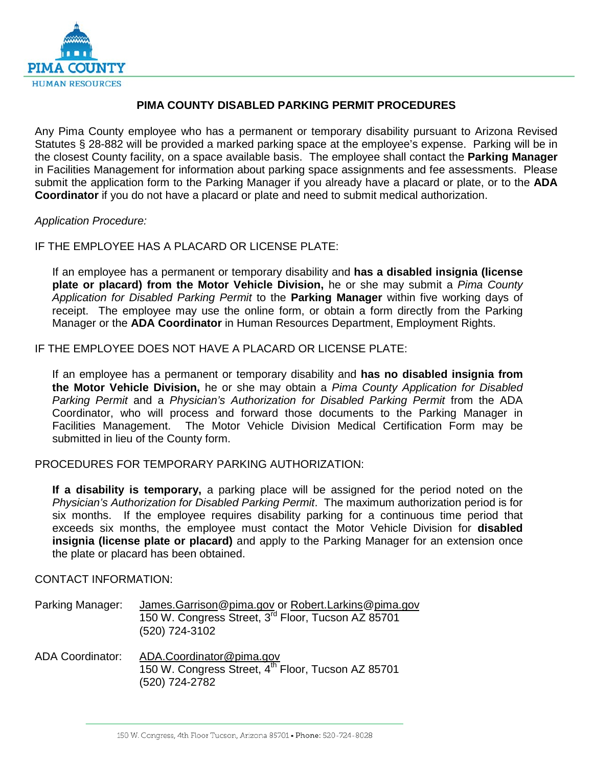

### **PIMA COUNTY DISABLED PARKING PERMIT PROCEDURES**

Any Pima County employee who has a permanent or temporary disability pursuant to Arizona Revised Statutes § 28-882 will be provided a marked parking space at the employee's expense. Parking will be in the closest County facility, on a space available basis. The employee shall contact the **Parking Manager** in Facilities Management for information about parking space assignments and fee assessments. Please submit the application form to the Parking Manager if you already have a placard or plate, or to the **ADA Coordinator** if you do not have a placard or plate and need to submit medical authorization.

### *Application Procedure:*

IF THE EMPLOYEE HAS A PLACARD OR LICENSE PLATE:

If an employee has a permanent or temporary disability and **has a disabled insignia (license plate or placard) from the Motor Vehicle Division,** he or she may submit a *Pima County Application for Disabled Parking Permit* to the **Parking Manager** within five working days of receipt. The employee may use the online form, or obtain a form directly from the Parking Manager or the **ADA Coordinator** in Human Resources Department, Employment Rights.

IF THE EMPLOYEE DOES NOT HAVE A PLACARD OR LICENSE PLATE:

If an employee has a permanent or temporary disability and **has no disabled insignia from the Motor Vehicle Division,** he or she may obtain a *Pima County Application for Disabled Parking Permit* and a *Physician's Authorization for Disabled Parking Permit* from the ADA Coordinator, who will process and forward those documents to the Parking Manager in Facilities Management. The Motor Vehicle Division Medical Certification Form may be submitted in lieu of the County form.

PROCEDURES FOR TEMPORARY PARKING AUTHORIZATION:

**If a disability is temporary,** a parking place will be assigned for the period noted on the *Physician's Authorization for Disabled Parking Permit*. The maximum authorization period is for six months. If the employee requires disability parking for a continuous time period that exceeds six months, the employee must contact the Motor Vehicle Division for **disabled insignia (license plate or placard)** and apply to the Parking Manager for an extension once the plate or placard has been obtained.

### CONTACT INFORMATION:

| Parking Manager:        | James.Garrison@pima.gov or Robert.Larkins@pima.gov<br>150 W. Congress Street, 3 <sup>rd</sup> Floor, Tucson AZ 85701<br>(520) 724-3102 |
|-------------------------|----------------------------------------------------------------------------------------------------------------------------------------|
| <b>ADA Coordinator:</b> | ADA.Coordinator@pima.gov<br>150 W. Congress Street, 4th Floor, Tucson AZ 85701                                                         |

(520) 724-2782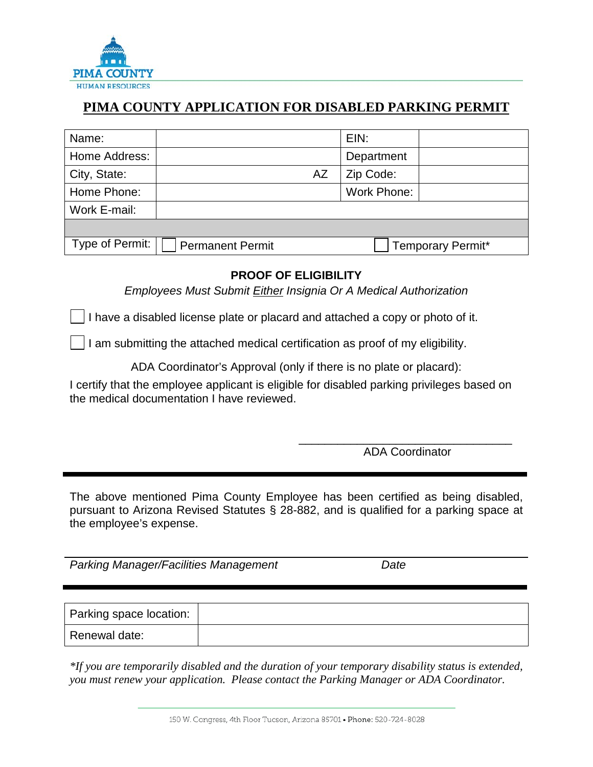

## **PIMA COUNTY APPLICATION FOR DISABLED PARKING PERMIT**

| Name:           |                         |                          | EIN:        |  |
|-----------------|-------------------------|--------------------------|-------------|--|
| Home Address:   |                         |                          | Department  |  |
| City, State:    |                         | AZ                       | Zip Code:   |  |
| Home Phone:     |                         |                          | Work Phone: |  |
| Work E-mail:    |                         |                          |             |  |
|                 |                         |                          |             |  |
| Type of Permit: | <b>Permanent Permit</b> | <b>Temporary Permit*</b> |             |  |

## **PROOF OF ELIGIBILITY**

*Employees Must Submit Either Insignia Or A Medical Authorization* 

I have a disabled license plate or placard and attached a copy or photo of it.

I am submitting the attached medical certification as proof of my eligibility.

ADA Coordinator's Approval (only if there is no plate or placard):

I certify that the employee applicant is eligible for disabled parking privileges based on the medical documentation I have reviewed.

 $\overline{\phantom{a}}$  , and the contract of the contract of the contract of the contract of the contract of the contract of the contract of the contract of the contract of the contract of the contract of the contract of the contrac ADA Coordinator

The above mentioned Pima County Employee has been certified as being disabled, pursuant to Arizona Revised Statutes § 28-882, and is qualified for a parking space at the employee's expense.

*Parking Manager/Facilities Management Date*

| Parking space location: |  |
|-------------------------|--|
| Renewal date:           |  |

*\*If you are temporarily disabled and the duration of your temporary disability status is extended, you must renew your application. Please contact the Parking Manager or ADA Coordinator.*